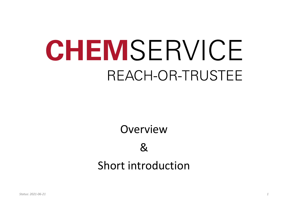Overview &

# Short introduction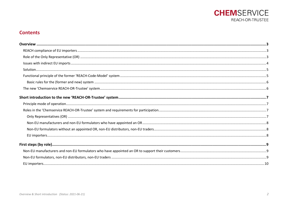

# **Contents**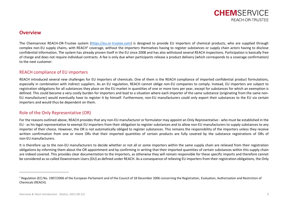

# <span id="page-2-0"></span>**Overview**

The Chemservice REACH-OR-Trustee system [\(https://eu.or-trustee.com\)](https://eu.or-trustee.com/) is designed to provide EU importers of chemical products, who are supplied through complex non-EU supply chains, with REACH<sup>1</sup> coverage, without the importers themselves having to register substances or supply chain actors having to disclose confidential information. The system has already proven itself in the EU since 2008 and has also withstood several REACH inspections. Participation is basically free of charge and does not require individual contracts. A fee is only due when participants release a product delivery (which corresponds to a coverage confirmation) to the next customer.

# <span id="page-2-1"></span>REACH compliance of EU importers

REACH introduced several new challenges for EU importers of chemicals. One of them is the REACH compliance of imported confidential product formulations, especially in combination with indirect suppliers. As an EU regulation, REACH cannot oblige non-EU companies to comply. Instead, EU importers are subject to registration obligations for all substances they place on the EU market in quantities of one or more tons per year, except for substances for which an exemption is defined. This could become a very costly burden for importers and lead to a situation where each importer of the same substance (originating from the same non-EU manufacturer) would eventually have to register it by himself. Furthermore, non-EU manufacturers could only export their substances to the EU via certain importers and would thus be dependent on them.

# <span id="page-2-2"></span>Role of the Only Representative (OR)

For the reasons outlined above, REACH provides that any non-EU manufacturer or formulator may appoint an Only Representative - who must be established in the EU - as his legal representative to exempt EU importers from their obligation to register substances and to allow non-EU manufacturers to supply substances to any importer of their choice. However, the OR is not automatically obliged to register substances. This remains the responsibility of the importers unless they receive written confirmation from one or more ORs that their imported quantities of certain products are fully covered by the substance registrations of ORs of non-EU manufacturers.

It is therefore up to the non-EU manufacturers to decide whether or not all or some importers within the same supply chain are relieved from their registration obligations by informing them about the OR appointment and by confirming in writing that their imported quantities of certain substances within this supply chain are indeed covered. This provides clear documentation to the importers, as otherwise they will remain responsible for these specific imports and therefore cannot be considered as so-called Downstream Users (DU) as defined under REACH. As a consequence of relieving EU importers from their registration obligations, the Only

 $1$  Regulation (EC) No. 1907/2006 of the European Parliament and of the Council of 18 December 2006 concerning the Registration. Evaluation, Authorisation and Restriction of Chemicals (REACH).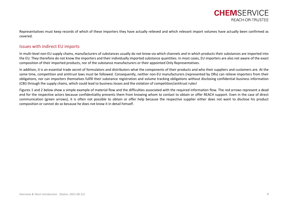Representatives must keep records of which of these importers they have actually relieved and which relevant import volumes have actually been confirmed as covered.

# <span id="page-3-0"></span>Issues with indirect EU imports

In multi-level non-EU supply chains, manufacturers of substances usually do not know via which channels and in which products their substances are imported into the EU. They therefore do not know the importers and their individually imported substance quantities. In most cases, EU importers are also not aware of the exact composition of their imported products, nor of the substance manufacturers or their appointed Only Representatives.

In addition, it is an essential trade secret of formulators and distributors what the components of their products and who their suppliers and customers are. At the same time, competition and antitrust laws must be followed. Consequently, neither non-EU manufacturers (represented by ORs) can relieve importers from their obligations, nor can importers themselves fulfill their substance registration and volume tracking obligations without disclosing confidential business information (CBI) through the supply chains, which could lead to business losses and the violation of competition/antitrust rules!

Figures 1 and 2 below show a simple example of material flow and the difficulties associated with the required information flow. The red arrows represent a dead end for the respective actors because confidentiality prevents them from knowing whom to contact to obtain or offer REACH support. Even in the case of direct communication (green arrows), it is often not possible to obtain or offer help because the respective supplier either does not want to disclose his product composition or cannot do so because he does not know it in detail himself.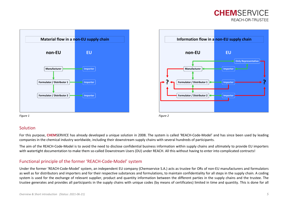



<span id="page-4-0"></span>



# Solution

For this purpose, **CHEM**SERVICE has already developed a unique solution in 2008. The system is called 'REACH-Code-Model' and has since been used by leading companies in the chemical industry worldwide, including their downstream supply chains with several hundreds of participants.

The aim of the REACH-Code-Model is to avoid the need to disclose confidential business information within supply chains and ultimately to provide EU importers with watertight documentation to make them so-called Downstream Users (DU) under REACH. All this without having to enter into complicated contracts!

# <span id="page-4-1"></span>Functional principle of the former 'REACH-Code-Model' system

Under the former 'REACH-Code-Model' system, an independent EU company (Chemservice S.A.) acts as trustee for ORs of non-EU manufacturers and formulators as well as for distributors and importers and for their respective substances and formulations, to maintain confidentiality for all steps in the supply chain. A coding system is used for the exchange of relevant supplier, product and quantity information between the different parties in the supply chains and the trustee. The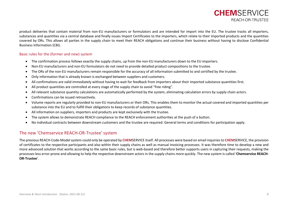product deliveries that contain material from non-EU manufacturers or formulators and are intended for import into the EU. The trustee tracks all importers, substances and quantities via a central database and finally issues Import Certificates to the importers, which relate to their imported products and the quantities covered by ORs. This allows all parties in the supply chain to meet their REACH obligations and continue their business without having to disclose Confidential Business Information (CBI).

#### <span id="page-5-0"></span>Basic rules for the (former and new) system

- The confirmation process follows exactly the supply chains, up from the non-EU manufacturers down to the EU importers.
- Non-EU manufacturers and non-EU formulators do not need to provide detailed product compositions to the trustee.
- The ORs of the non-EU manufacturers remain responsible for the accuracy of all information submitted to and certified by the trustee.
- Only information that is already known is exchanged between suppliers and customers.
- All confirmations are valid immediately without having to wait for feedback from importers about their imported substance quantities first.
- All product quantities are controlled at every stage of the supply chain to avoid "free riding".
- All relevant substance quantity calculations are automatically performed by the system, eliminating calculation errors by supply chain actors.
- Confirmations can be issued retroactively.
- Volume reports are regularly provided to non-EU manufacturers or their ORs. This enables them to monitor the actual covered and imported quantities per substance into the EU and to fulfill their obligations to keep records of substance quantities.
- All information on suppliers, importers and products are kept exclusively with the trustee.
- The system allows to demonstrate REACH compliance to the REACH enforcement authorities at the push of a button.
- No individual contracts between downstream customers and the trustee are required. General terms and conditions for participation apply.

# <span id="page-5-1"></span>The new 'Chemservice REACH-OR-Trustee' system

The previous REACH-Code-Model system could only be operated by **CHEM**SERVICE itself. All processes were based on email inquiries to **CHEM**SERVICE, the provision of certificates to the respective participants and also within their supply chains as well as manual invoicing processes. It was therefore time to develop a new and more advanced solution that works according to the same basic rules, but is web-based and therefore better supports users in capturing their requests, making the processes less error-prone and allowing to help the respective downstream actors in the supply chains more quickly. The new system is called '**Chemservice REACH-OR-Trustee**'.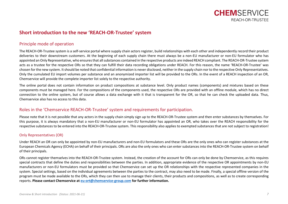

# <span id="page-6-0"></span>**Short introduction to the new 'REACH-OR-Trustee' system**

# <span id="page-6-1"></span>Principle mode of operation

The REACH-OR-Trustee system is a self-service portal where supply chain actors register, build relationships with each other and independently record their product deliveries to their downstream customers. At the beginning of each supply chain there must always be a non-EU manufacturer or non-EU formulator who has appointed an Only Representative, who ensures that all substances contained in the respective products are indeed REACH compliant. The REACH-OR-Trustee system acts as a trustee for the respective ORs so that they can fulfill their data recording obligations under REACH. For this reason, the name 'REACH-OR-Trustee' was chosen for the new system. It should be noted that confidential information is never disclosed, neither in the supply chain nor to the respective Only Representatives. Only the cumulated EU import volumes per substance and an anonymized importer list will be provided to the ORs. In the event of a REACH inspection of an OR, Chemservice will provide the complete importer list solely to the respective authority.

The online portal does not contain information on product compositions at substance level. Only product names (components) and mixtures based on these components must be managed here. For the compositions of the components used, the respective ORs are provided with an offline module, which has no direct connection to the online system, but of course allows a data exchange with it that is transparent for the OR, so that he can check the uploaded data. Thus, Chemservice also has no access to this data.

# <span id="page-6-2"></span>Roles in the 'Chemservice REACH-OR-Trustee' system and requirements for participation.

Please note that it is not possible that any actors in the supply chain simply sign up to the REACH-OR-Trustee system and then enter substances by themselves. For this purpose, it is always mandatory that a non-EU manufacturer or non-EU formulator has appointed an OR, who takes over the REACH responsibility for the respective substances to be entered into the REACH-OR-Trustee system. This responsibility also applies to exempted substances that are not subject to registration!

## <span id="page-6-3"></span>Only Representatives (OR)

Under REACH an OR can only be appointed by non-EU manufacturers and non-EU formulators and these ORs are the only ones who can register substances at the European Chemicals Agency (ECHA) on behalf of their principals. ORs are also the only ones who can enter substances into the REACH-OR-Trustee system on behalf of their principals.

ORs cannot register themselves into the REACH-OR-Trustee system. Instead, the creation of the account for ORs can only be done by Chemservice, as this requires special contracts that define the duties and responsibilities between the parties. In addition, appropriate evidence of the respective OR appointments by non-EU manufacturers or non-EU formulators must be provided so that Chemservice can set up the OR relationships with the respective represented companies in the system. Special settings, based on the individual agreements between the parties to the contract, may also need to be made. Finally, a special offline version of the program must be made available to the ORs, which they can then use to manage their clients, their products and compositions, as well as to create corresponding reports. **Please contact Chemservice a[t eu-ort@chemservice-group.com](mailto:eu-ort@chemservice-group.com) for further information.**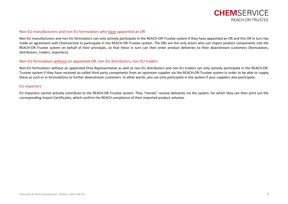

#### <span id="page-7-0"></span>Non-EU manufacturers and non-EU formulators who have appointed an OR

Non-EU manufacturers and non-EU formulators can only actively participate in the REACH-OR-Trustee system if they have appointed an OR and this OR in turn has made an agreement with Chemservice to participate in the REACH-OR-Trustee system. The ORs are the only actors who can import product components into the REACH-OR-Trustee system on behalf of their principals, so that these in turn can then enter product deliveries to their downstream customers (formulators, distributors, traders, importers).

#### <span id="page-7-1"></span>Non-EU formulators without an appointed OR, non-EU distributors, non-EU traders

Non-EU formulators without an appointed Only Representative as well as non-EU distributors and non-EU traders can only actively participate in the REACH-OR-Trustee system if they have received so-called third party components from an upstream supplier via the REACH-OR-Trustee system in order to be able to supply these as such or in formulations to further downstream customers. In other words, you can only participate in the system if your suppliers also participate.

#### <span id="page-7-2"></span>EU importers

EU importers cannot actively contribute to the REACH-OR-Trustee system. They "merely" receive deliveries via the system, for which they can then print out the corresponding Import Certificates, which confirm the REACH compliance of their imported product volumes.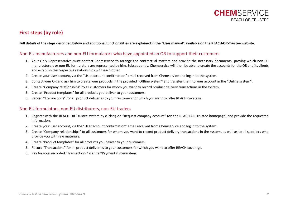

# <span id="page-8-0"></span>**First steps (by role)**

#### **Full details of the steps described below and additional functionalities are explained in the "User manual" available on the REACH-OR-Trustee website.**

# <span id="page-8-1"></span>Non-EU manufacturers and non-EU formulators who have appointed an OR to support their customers

- 1. Your Only Representative must contact Chemservice to arrange the contractual matters and provide the necessary documents, proving which non-EU manufacturers or non-EU formulators are represented by him. Subsequently, Chemservice will then be able to create the accounts for the OR and its clients and establish the respective relationships with each other.
- 2. Create your user account, via the "User account confirmation" email received from Chemservice and log in to the system.
- 3. Contact your OR and ask him to create your products in the provided "Offline system" and transfer them to your account in the "Online system".
- 4. Create "Company relationships" to all customers for whom you want to record product delivery transactions in the system.
- 5. Create "Product templates" for all products you deliver to your customers.
- 6. Record "Transactions" for all product deliveries to your customers for which you want to offer REACH coverage.

## <span id="page-8-2"></span>Non-EU formulators, non-EU distributors, non-EU traders

- 1. Register with the REACH-OR-Trustee system by clicking on "Request company account" (on the REACH-OR-Trustee homepage) and provide the requested information.
- 2. Create your user account, via the "User account confirmation" email received from Chemservice and log in to the system.
- 3. Create "Company relationships" to all customers for whom you want to record product delivery transactions in the system, as well as to all suppliers who provide you with raw materials.
- 4. Create "Product templates" for all products you deliver to your customers.
- 5. Record "Transactions" for all product deliveries to your customers for which you want to offer REACH coverage.
- 6. Pay for your recorded "Transactions" via the "Payments" menu item.